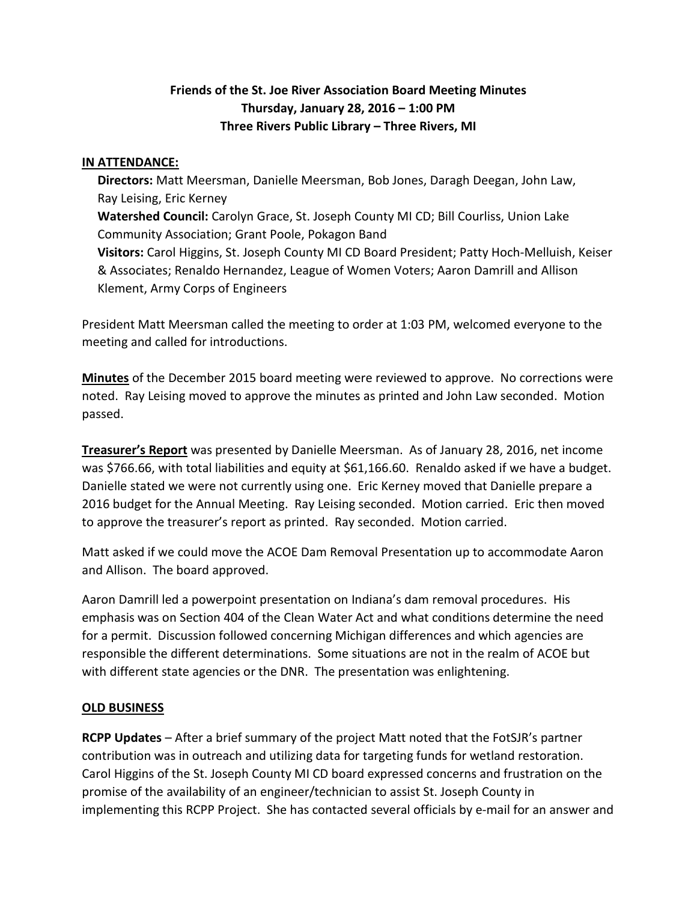# **Friends of the St. Joe River Association Board Meeting Minutes Thursday, January 28, 2016 – 1:00 PM Three Rivers Public Library – Three Rivers, MI**

#### **IN ATTENDANCE:**

 **Directors:** Matt Meersman, Danielle Meersman, Bob Jones, Daragh Deegan, John Law, Ray Leising, Eric Kerney **Watershed Council:** Carolyn Grace, St. Joseph County MI CD; Bill Courliss, Union Lake Community Association; Grant Poole, Pokagon Band **Visitors:** Carol Higgins, St. Joseph County MI CD Board President; Patty Hoch-Melluish, Keiser & Associates; Renaldo Hernandez, League of Women Voters; Aaron Damrill and Allison Klement, Army Corps of Engineers

President Matt Meersman called the meeting to order at 1:03 PM, welcomed everyone to the meeting and called for introductions.

**Minutes** of the December 2015 board meeting were reviewed to approve. No corrections were noted. Ray Leising moved to approve the minutes as printed and John Law seconded. Motion passed.

**Treasurer's Report** was presented by Danielle Meersman. As of January 28, 2016, net income was \$766.66, with total liabilities and equity at \$61,166.60. Renaldo asked if we have a budget. Danielle stated we were not currently using one. Eric Kerney moved that Danielle prepare a 2016 budget for the Annual Meeting. Ray Leising seconded. Motion carried. Eric then moved to approve the treasurer's report as printed. Ray seconded. Motion carried.

Matt asked if we could move the ACOE Dam Removal Presentation up to accommodate Aaron and Allison. The board approved.

Aaron Damrill led a powerpoint presentation on Indiana's dam removal procedures. His emphasis was on Section 404 of the Clean Water Act and what conditions determine the need for a permit. Discussion followed concerning Michigan differences and which agencies are responsible the different determinations. Some situations are not in the realm of ACOE but with different state agencies or the DNR. The presentation was enlightening.

#### **OLD BUSINESS**

**RCPP Updates** – After a brief summary of the project Matt noted that the FotSJR's partner contribution was in outreach and utilizing data for targeting funds for wetland restoration. Carol Higgins of the St. Joseph County MI CD board expressed concerns and frustration on the promise of the availability of an engineer/technician to assist St. Joseph County in implementing this RCPP Project. She has contacted several officials by e-mail for an answer and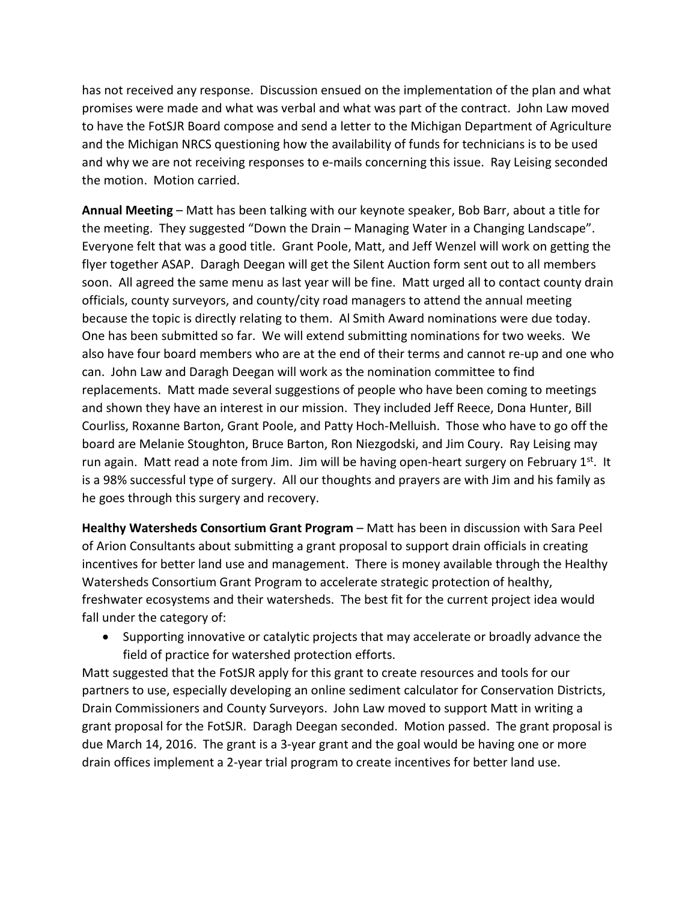has not received any response. Discussion ensued on the implementation of the plan and what promises were made and what was verbal and what was part of the contract. John Law moved to have the FotSJR Board compose and send a letter to the Michigan Department of Agriculture and the Michigan NRCS questioning how the availability of funds for technicians is to be used and why we are not receiving responses to e-mails concerning this issue. Ray Leising seconded the motion. Motion carried.

**Annual Meeting** – Matt has been talking with our keynote speaker, Bob Barr, about a title for the meeting. They suggested "Down the Drain – Managing Water in a Changing Landscape". Everyone felt that was a good title. Grant Poole, Matt, and Jeff Wenzel will work on getting the flyer together ASAP. Daragh Deegan will get the Silent Auction form sent out to all members soon. All agreed the same menu as last year will be fine. Matt urged all to contact county drain officials, county surveyors, and county/city road managers to attend the annual meeting because the topic is directly relating to them. Al Smith Award nominations were due today. One has been submitted so far. We will extend submitting nominations for two weeks. We also have four board members who are at the end of their terms and cannot re-up and one who can. John Law and Daragh Deegan will work as the nomination committee to find replacements. Matt made several suggestions of people who have been coming to meetings and shown they have an interest in our mission. They included Jeff Reece, Dona Hunter, Bill Courliss, Roxanne Barton, Grant Poole, and Patty Hoch-Melluish. Those who have to go off the board are Melanie Stoughton, Bruce Barton, Ron Niezgodski, and Jim Coury. Ray Leising may run again. Matt read a note from Jim. Jim will be having open-heart surgery on February 1<sup>st</sup>. It is a 98% successful type of surgery. All our thoughts and prayers are with Jim and his family as he goes through this surgery and recovery.

**Healthy Watersheds Consortium Grant Program** – Matt has been in discussion with Sara Peel of Arion Consultants about submitting a grant proposal to support drain officials in creating incentives for better land use and management. There is money available through the Healthy Watersheds Consortium Grant Program to accelerate strategic protection of healthy, freshwater ecosystems and their watersheds. The best fit for the current project idea would fall under the category of:

• Supporting innovative or catalytic projects that may accelerate or broadly advance the field of practice for watershed protection efforts.

Matt suggested that the FotSJR apply for this grant to create resources and tools for our partners to use, especially developing an online sediment calculator for Conservation Districts, Drain Commissioners and County Surveyors. John Law moved to support Matt in writing a grant proposal for the FotSJR. Daragh Deegan seconded. Motion passed. The grant proposal is due March 14, 2016. The grant is a 3-year grant and the goal would be having one or more drain offices implement a 2-year trial program to create incentives for better land use.